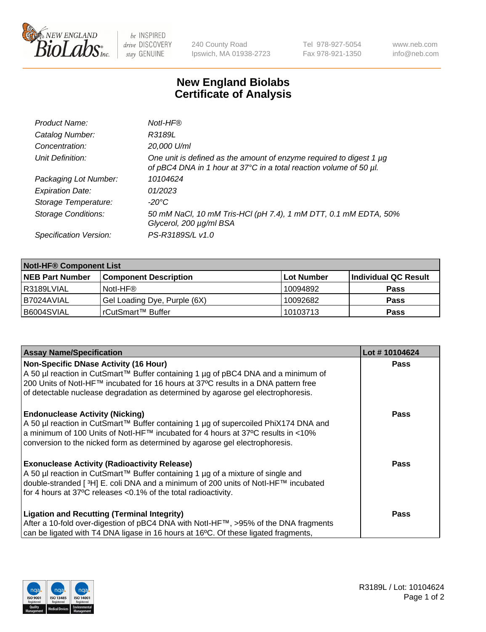

be INSPIRED drive DISCOVERY stay GENUINE

240 County Road Ipswich, MA 01938-2723 Tel 978-927-5054 Fax 978-921-1350 www.neb.com info@neb.com

## **New England Biolabs Certificate of Analysis**

| Product Name:              | Notl-HF®                                                                                                                                  |
|----------------------------|-------------------------------------------------------------------------------------------------------------------------------------------|
| Catalog Number:            | R3189L                                                                                                                                    |
| Concentration:             | 20,000 U/ml                                                                                                                               |
| Unit Definition:           | One unit is defined as the amount of enzyme required to digest 1 µg<br>of pBC4 DNA in 1 hour at 37°C in a total reaction volume of 50 µl. |
| Packaging Lot Number:      | 10104624                                                                                                                                  |
| <b>Expiration Date:</b>    | 01/2023                                                                                                                                   |
| Storage Temperature:       | $-20^{\circ}$ C                                                                                                                           |
| <b>Storage Conditions:</b> | 50 mM NaCl, 10 mM Tris-HCl (pH 7.4), 1 mM DTT, 0.1 mM EDTA, 50%<br>Glycerol, 200 µg/ml BSA                                                |
| Specification Version:     | PS-R3189S/L v1.0                                                                                                                          |

| <b>Notl-HF® Component List</b> |                              |            |                      |  |  |
|--------------------------------|------------------------------|------------|----------------------|--|--|
| <b>NEB Part Number</b>         | <b>Component Description</b> | Lot Number | Individual QC Result |  |  |
| R3189LVIAL                     | Notl-HF®                     | 10094892   | <b>Pass</b>          |  |  |
| I B7024AVIAL                   | Gel Loading Dye, Purple (6X) | 10092682   | <b>Pass</b>          |  |  |
| B6004SVIAL                     | l rCutSmart™ Buffer          | 10103713   | <b>Pass</b>          |  |  |

| <b>Assay Name/Specification</b>                                                              | Lot #10104624 |
|----------------------------------------------------------------------------------------------|---------------|
| <b>Non-Specific DNase Activity (16 Hour)</b>                                                 | <b>Pass</b>   |
| A 50 µl reaction in CutSmart™ Buffer containing 1 µg of pBC4 DNA and a minimum of            |               |
| 200 Units of Notl-HF™ incubated for 16 hours at 37°C results in a DNA pattern free           |               |
| of detectable nuclease degradation as determined by agarose gel electrophoresis.             |               |
| <b>Endonuclease Activity (Nicking)</b>                                                       | <b>Pass</b>   |
| A 50 µl reaction in CutSmart™ Buffer containing 1 µg of supercoiled PhiX174 DNA and          |               |
| a minimum of 100 Units of Notl-HF™ incubated for 4 hours at 37°C results in <10%             |               |
| conversion to the nicked form as determined by agarose gel electrophoresis.                  |               |
| <b>Exonuclease Activity (Radioactivity Release)</b>                                          | <b>Pass</b>   |
| A 50 µl reaction in CutSmart™ Buffer containing 1 µg of a mixture of single and              |               |
| double-stranded [3H] E. coli DNA and a minimum of 200 units of Notl-HF™ incubated            |               |
| for 4 hours at 37°C releases < 0.1% of the total radioactivity.                              |               |
| <b>Ligation and Recutting (Terminal Integrity)</b>                                           | <b>Pass</b>   |
| After a 10-fold over-digestion of pBC4 DNA with Notl-HF™, >95% of the DNA fragments          |               |
| can be ligated with T4 DNA ligase in 16 hours at 16 $\degree$ C. Of these ligated fragments, |               |